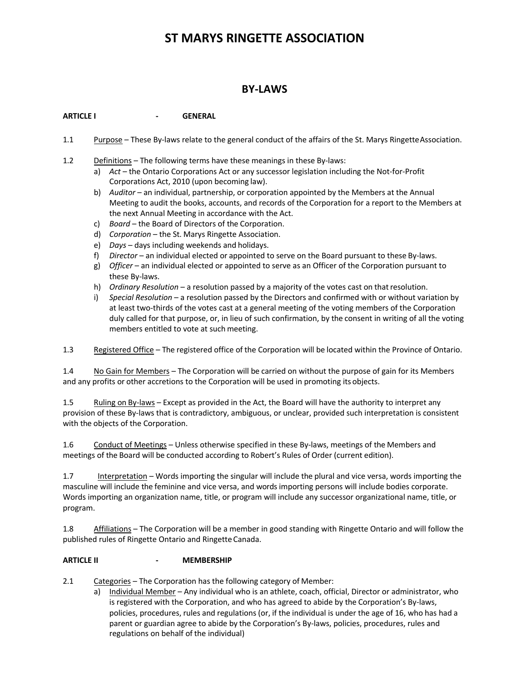# **ST MARYS RINGETTE ASSOCIATION**

# **BY-LAWS**

**ARTICLE I - GENERAL**

- 1.1 Purpose These By-laws relate to the general conduct of the affairs of the St. Marys RingetteAssociation.
- 1.2 Definitions The following terms have these meanings in these By-laws:
	- a) *Act*  the Ontario Corporations Act or any successor legislation including the Not-for-Profit Corporations Act, 2010 (upon becoming law).
	- b) *Auditor*  an individual, partnership, or corporation appointed by the Members at the Annual Meeting to audit the books, accounts, and records of the Corporation for a report to the Members at the next Annual Meeting in accordance with the Act.
	- c) *Board*  the Board of Directors of the Corporation.
	- d) *Corporation*  the St. Marys Ringette Association.
	- e) *Days*  days including weekends and holidays.
	- f) *Director*  an individual elected or appointed to serve on the Board pursuant to these By-laws.
	- g) *Officer*  an individual elected or appointed to serve as an Officer of the Corporation pursuant to these By-laws.
	- h) *Ordinary Resolution*  a resolution passed by a majority of the votes cast on thatresolution.
	- i) *Special Resolution*  a resolution passed by the Directors and confirmed with or without variation by at least two-thirds of the votes cast at a general meeting of the voting members of the Corporation duly called for that purpose, or, in lieu of such confirmation, by the consent in writing of all the voting members entitled to vote at such meeting.

1.3 Registered Office – The registered office of the Corporation will be located within the Province of Ontario.

1.4 No Gain for Members – The Corporation will be carried on without the purpose of gain for its Members and any profits or other accretions to the Corporation will be used in promoting its objects.

1.5 Ruling on By-laws – Except as provided in the Act, the Board will have the authority to interpret any provision of these By-laws that is contradictory, ambiguous, or unclear, provided such interpretation is consistent with the objects of the Corporation.

1.6 Conduct of Meetings – Unless otherwise specified in these By-laws, meetings of the Members and meetings of the Board will be conducted according to Robert's Rules of Order (current edition).

1.7 Interpretation – Words importing the singular will include the plural and vice versa, words importing the masculine will include the feminine and vice versa, and words importing persons will include bodies corporate. Words importing an organization name, title, or program will include any successor organizational name, title, or program.

1.8 Affiliations – The Corporation will be a member in good standing with Ringette Ontario and will follow the published rules of Ringette Ontario and Ringette Canada.

# **ARTICLE II - MEMBERSHIP**

2.1 Categories – The Corporation has the following category of Member:

a) Individual Member - Any individual who is an athlete, coach, official, Director or administrator, who is registered with the Corporation, and who has agreed to abide by the Corporation's By-laws, policies, procedures, rules and regulations (or, if the individual is under the age of 16, who has had a parent or guardian agree to abide by the Corporation's By-laws, policies, procedures, rules and regulations on behalf of the individual)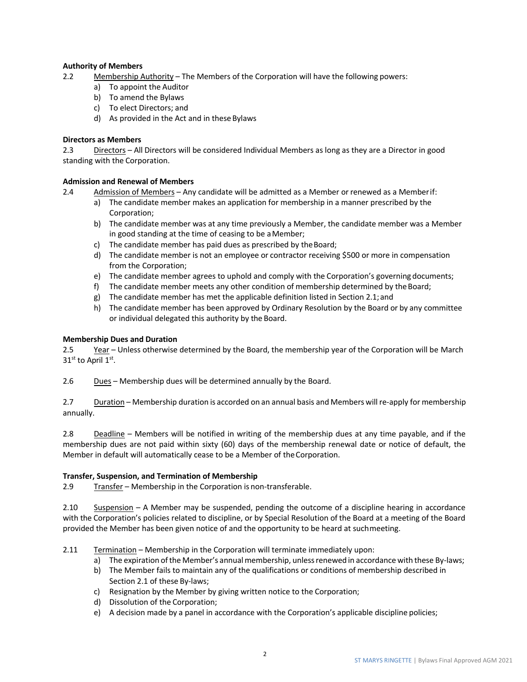# **Authority of Members**

- 2.2 Membership Authority The Members of the Corporation will have the following powers:
	- a) To appoint the Auditor
	- b) To amend the Bylaws
	- c) To elect Directors; and
	- d) As provided in the Act and in these Bylaws

#### **Directors as Members**

2.3 Directors – All Directors will be considered Individual Members as long as they are a Director in good standing with the Corporation.

#### **Admission and Renewal of Members**

- 2.4 Admission of Members Any candidate will be admitted as a Member or renewed as a Memberif:
	- a) The candidate member makes an application for membership in a manner prescribed by the Corporation;
	- b) The candidate member was at any time previously a Member, the candidate member was a Member in good standing at the time of ceasing to be aMember;
	- c) The candidate member has paid dues as prescribed by theBoard;
	- d) The candidate member is not an employee or contractor receiving \$500 or more in compensation from the Corporation;
	- e) The candidate member agrees to uphold and comply with the Corporation's governing documents;
	- f) The candidate member meets any other condition of membership determined by the Board;
	- g) The candidate member has met the applicable definition listed in Section 2.1;and
	- h) The candidate member has been approved by Ordinary Resolution by the Board or by any committee or individual delegated this authority by the Board.

#### **Membership Dues and Duration**

2.5 Year – Unless otherwise determined by the Board, the membership year of the Corporation will be March 31st to April 1st.

2.6 Dues – Membership dues will be determined annually by the Board.

2.7 Duration – Membership duration is accorded on an annual basis and Members will re-apply for membership annually.

2.8 Deadline – Members will be notified in writing of the membership dues at any time payable, and if the membership dues are not paid within sixty (60) days of the membership renewal date or notice of default, the Member in default will automatically cease to be a Member of theCorporation.

#### **Transfer, Suspension, and Termination of Membership**

2.9 Transfer – Membership in the Corporation is non-transferable.

2.10 Suspension – A Member may be suspended, pending the outcome of a discipline hearing in accordance with the Corporation's policies related to discipline, or by Special Resolution of the Board at a meeting of the Board provided the Member has been given notice of and the opportunity to be heard at suchmeeting.

#### 2.11 Termination – Membership in the Corporation will terminate immediately upon:

- a) The expiration of the Member's annual membership, unless renewed in accordance with these By-laws;
- b) The Member fails to maintain any of the qualifications or conditions of membership described in Section 2.1 of these By-laws;
- c) Resignation by the Member by giving written notice to the Corporation;
- d) Dissolution of the Corporation;
- e) A decision made by a panel in accordance with the Corporation's applicable discipline policies;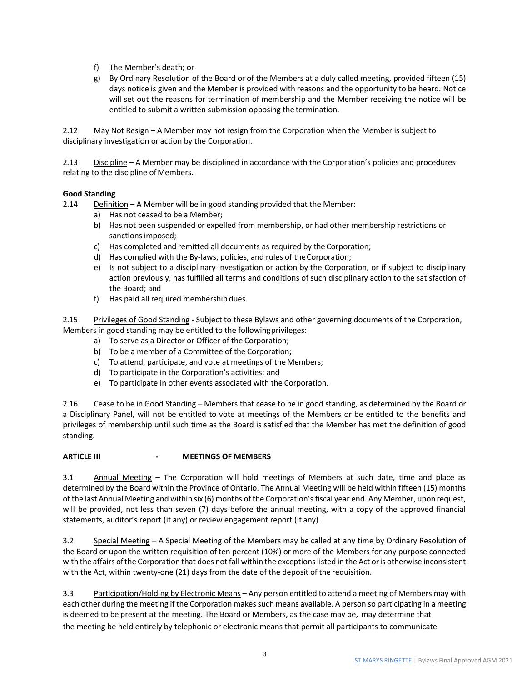- f) The Member's death; or
- g) By Ordinary Resolution of the Board or of the Members at a duly called meeting, provided fifteen (15) days notice is given and the Member is provided with reasons and the opportunity to be heard. Notice will set out the reasons for termination of membership and the Member receiving the notice will be entitled to submit a written submission opposing the termination.

2.12 May Not Resign – A Member may not resign from the Corporation when the Member is subject to disciplinary investigation or action by the Corporation.

2.13 Discipline – A Member may be disciplined in accordance with the Corporation's policies and procedures relating to the discipline of Members.

#### **Good Standing**

2.14 Definition – A Member will be in good standing provided that the Member:

- a) Has not ceased to be a Member;
- b) Has not been suspended or expelled from membership, or had other membership restrictions or sanctions imposed;
- c) Has completed and remitted all documents as required by the Corporation;
- d) Has complied with the By-laws, policies, and rules of theCorporation;
- e) Is not subject to a disciplinary investigation or action by the Corporation, or if subject to disciplinary action previously, has fulfilled all terms and conditions of such disciplinary action to the satisfaction of the Board; and
- f) Has paid all required membership dues.

2.15 Privileges of Good Standing - Subject to these Bylaws and other governing documents of the Corporation, Members in good standing may be entitled to the followingprivileges:

- a) To serve as a Director or Officer of the Corporation;
- b) To be a member of a Committee of the Corporation;
- c) To attend, participate, and vote at meetings of the Members;
- d) To participate in the Corporation's activities; and
- e) To participate in other events associated with the Corporation.

2.16 Cease to be in Good Standing – Members that cease to be in good standing, as determined by the Board or a Disciplinary Panel, will not be entitled to vote at meetings of the Members or be entitled to the benefits and privileges of membership until such time as the Board is satisfied that the Member has met the definition of good standing.

# **ARTICLE III - MEETINGS OF MEMBERS**

3.1 Annual Meeting – The Corporation will hold meetings of Members at such date, time and place as determined by the Board within the Province of Ontario. The Annual Meeting will be held within fifteen (15) months of the last Annual Meeting and within six (6) months of the Corporation'sfiscal year end. Any Member, upon request, will be provided, not less than seven (7) days before the annual meeting, with a copy of the approved financial statements, auditor's report (if any) or review engagement report (if any).

3.2 Special Meeting – A Special Meeting of the Members may be called at any time by Ordinary Resolution of the Board or upon the written requisition of ten percent (10%) or more of the Members for any purpose connected with the affairs of the Corporation that does not fall within the exceptions listed in the Act or is otherwise inconsistent with the Act, within twenty-one (21) days from the date of the deposit of the requisition.

3.3 Participation/Holding by Electronic Means – Any person entitled to attend a meeting of Members may with each other during the meeting if the Corporation makes such means available. A person so participating in a meeting is deemed to be present at the meeting. The Board or Members, as the case may be, may determine that the meeting be held entirely by telephonic or electronic means that permit all participants to communicate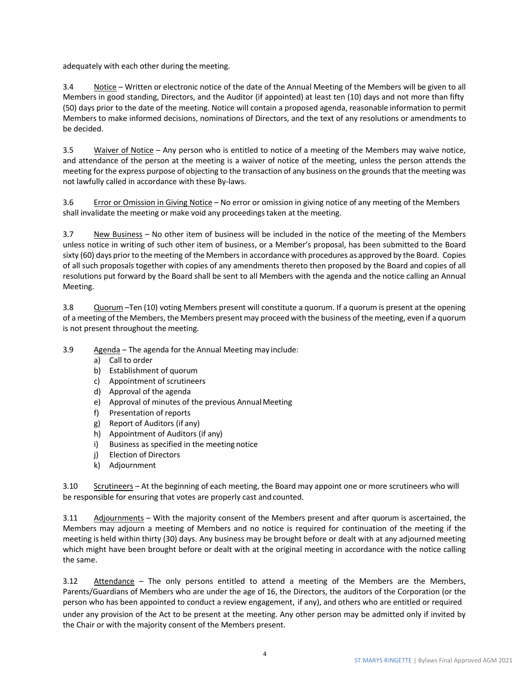adequately with each other during the meeting.

3.4 Notice – Written or electronic notice of the date of the Annual Meeting of the Members will be given to all Members in good standing, Directors, and the Auditor (if appointed) at least ten (10) days and not more than fifty (50) days prior to the date of the meeting. Notice will contain a proposed agenda, reasonable information to permit Members to make informed decisions, nominations of Directors, and the text of any resolutions or amendments to be decided.

3.5 Waiver of Notice – Any person who is entitled to notice of a meeting of the Members may waive notice, and attendance of the person at the meeting is a waiver of notice of the meeting, unless the person attends the meeting for the express purpose of objecting to the transaction of any business on the grounds that the meeting was not lawfully called in accordance with these By-laws.

3.6 Error or Omission in Giving Notice – No error or omission in giving notice of any meeting of the Members shall invalidate the meeting or make void any proceedings taken at the meeting.

3.7 New Business – No other item of business will be included in the notice of the meeting of the Members unless notice in writing of such other item of business, or a Member's proposal, has been submitted to the Board sixty (60) days prior to the meeting of the Members in accordance with procedures as approved by the Board. Copies of all such proposals together with copies of any amendments thereto then proposed by the Board and copies of all resolutions put forward by the Board shall be sent to all Members with the agenda and the notice calling an Annual Meeting.

3.8 Quorum –Ten (10) voting Members present will constitute a quorum. If a quorum is present at the opening of a meeting of the Members, the Members present may proceed with the business of the meeting, even if a quorum is not present throughout the meeting.

- 3.9 Agenda The agenda for the Annual Meeting may include:
	- a) Call to order
	- b) Establishment of quorum
	- c) Appointment of scrutineers
	- d) Approval of the agenda
	- e) Approval of minutes of the previous Annual Meeting
	- f) Presentation of reports
	- g) Report of Auditors (if any)
	- h) Appointment of Auditors (if any)
	- i) Business as specified in the meeting notice
	- j) Election of Directors
	- k) Adjournment

3.10 Scrutineers – At the beginning of each meeting, the Board may appoint one or more scrutineers who will be responsible for ensuring that votes are properly cast and counted.

3.11 Adjournments – With the majority consent of the Members present and after quorum is ascertained, the Members may adjourn a meeting of Members and no notice is required for continuation of the meeting if the meeting is held within thirty (30) days. Any business may be brought before or dealt with at any adjourned meeting which might have been brought before or dealt with at the original meeting in accordance with the notice calling the same.

3.12 Attendance - The only persons entitled to attend a meeting of the Members are the Members, Parents/Guardians of Members who are under the age of 16, the Directors, the auditors of the Corporation (or the person who has been appointed to conduct a review engagement, if any), and others who are entitled or required under any provision of the Act to be present at the meeting. Any other person may be admitted only if invited by the Chair or with the majority consent of the Members present.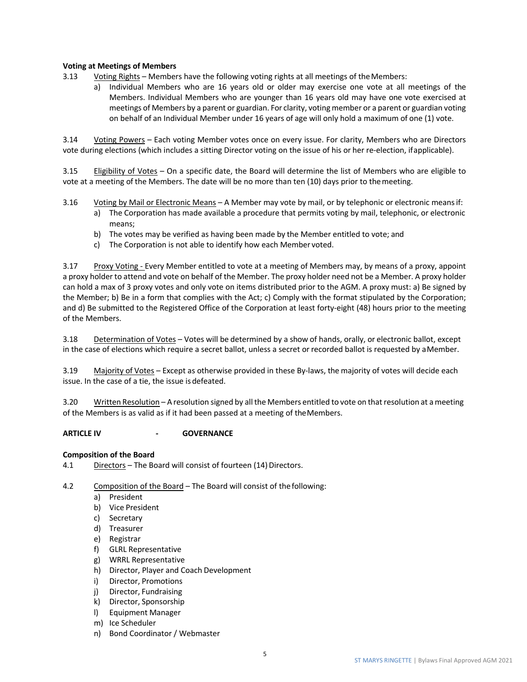# **Voting at Meetings of Members**

- 3.13 Voting Rights Members have the following voting rights at all meetings of theMembers:
	- a) Individual Members who are 16 years old or older may exercise one vote at all meetings of the Members. Individual Members who are younger than 16 years old may have one vote exercised at meetings of Members by a parent or guardian. For clarity, voting member or a parent or guardian voting on behalf of an Individual Member under 16 years of age will only hold a maximum of one (1) vote.

3.14 Voting Powers – Each voting Member votes once on every issue. For clarity, Members who are Directors vote during elections (which includes a sitting Director voting on the issue of his or her re-election, ifapplicable).

3.15 Eligibility of Votes – On a specific date, the Board will determine the list of Members who are eligible to vote at a meeting of the Members. The date will be no more than ten (10) days prior to themeeting.

- 3.16 Voting by Mail or Electronic Means A Member may vote by mail, or by telephonic or electronic meansif:
	- a) The Corporation has made available a procedure that permits voting by mail, telephonic, or electronic means;
	- b) The votes may be verified as having been made by the Member entitled to vote; and
	- c) The Corporation is not able to identify how each Member voted.

3.17 Proxy Voting - Every Member entitled to vote at a meeting of Members may, by means of a proxy, appoint a proxy holder to attend and vote on behalf of the Member. The proxy holder need not be a Member. A proxy holder can hold a max of 3 proxy votes and only vote on items distributed prior to the AGM. A proxy must: a) Be signed by the Member; b) Be in a form that complies with the Act; c) Comply with the format stipulated by the Corporation; and d) Be submitted to the Registered Office of the Corporation at least forty-eight (48) hours prior to the meeting of the Members.

3.18 Determination of Votes – Votes will be determined by a show of hands, orally, or electronic ballot, except in the case of elections which require a secret ballot, unless a secret or recorded ballot is requested by aMember.

3.19 Majority of Votes – Except as otherwise provided in these By-laws, the majority of votes will decide each issue. In the case of a tie, the issue is defeated.

3.20 Written Resolution – A resolution signed by all the Members entitled to vote on thatresolution at ameeting of the Members is as valid as if it had been passed at a meeting of theMembers.

#### **ARTICLE IV - GOVERNANCE**

#### **Composition of the Board**

4.1 Directors – The Board will consist of fourteen (14) Directors.

4.2 Composition of the Board – The Board will consist of thefollowing:

- a) President
- b) Vice President
- c) Secretary
- d) Treasurer
- e) Registrar
- f) GLRL Representative
- g) WRRL Representative
- h) Director, Player and Coach Development
- i) Director, Promotions
- j) Director, Fundraising
- k) Director, Sponsorship
- l) Equipment Manager
- m) Ice Scheduler
- n) Bond Coordinator / Webmaster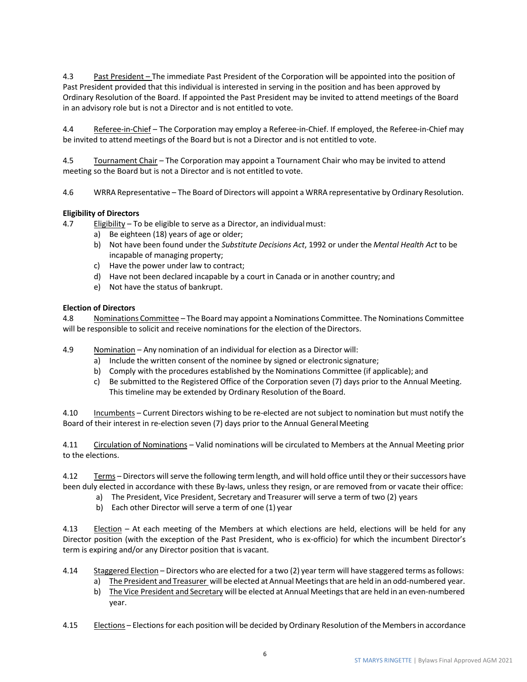4.3 Past President – The immediate Past President of the Corporation will be appointed into the position of Past President provided that this individual is interested in serving in the position and has been approved by Ordinary Resolution of the Board. If appointed the Past President may be invited to attend meetings of the Board in an advisory role but is not a Director and is not entitled to vote.

4.4 Referee-in-Chief – The Corporation may employ a Referee-in-Chief. If employed, the Referee-in-Chief may be invited to attend meetings of the Board but is not a Director and is not entitled to vote.

4.5 Tournament Chair – The Corporation may appoint a Tournament Chair who may be invited to attend meeting so the Board but is not a Director and is not entitled to vote.

4.6 WRRA Representative – The Board of Directors will appoint a WRRA representative by Ordinary Resolution.

#### **Eligibility of Directors**

4.7 Eligibility – To be eligible to serve as a Director, an individualmust:

- a) Be eighteen (18) years of age or older;
- b) Not have been found under the *Substitute Decisions Act*, 1992 or under the *Mental Health Act* to be incapable of managing property;
- c) Have the power under law to contract;
- d) Have not been declared incapable by a court in Canada or in another country; and
- e) Not have the status of bankrupt.

#### **Election of Directors**

4.8 Nominations Committee – The Board may appoint a Nominations Committee. The Nominations Committee will be responsible to solicit and receive nominations for the election of the Directors.

4.9 Nomination – Any nomination of an individual for election as a Director will:

- a) Include the written consent of the nominee by signed or electronic signature;
- b) Comply with the procedures established by the Nominations Committee (if applicable); and
- c) Be submitted to the Registered Office of the Corporation seven (7) days prior to the Annual Meeting. This timeline may be extended by Ordinary Resolution of the Board.

4.10 Incumbents – Current Directors wishing to be re-elected are not subject to nomination but must notify the Board of their interest in re-election seven (7) days prior to the Annual GeneralMeeting

4.11 Circulation of Nominations – Valid nominations will be circulated to Members at the Annual Meeting prior to the elections.

4.12 Terms – Directors will serve the following term length, and will hold office until they or their successors have been duly elected in accordance with these By-laws, unless they resign, or are removed from or vacate their office:

- a) The President, Vice President, Secretary and Treasurer will serve a term of two (2) years
- b) Each other Director will serve a term of one (1) year

4.13 Election – At each meeting of the Members at which elections are held, elections will be held for any Director position (with the exception of the Past President, who is ex-officio) for which the incumbent Director's term is expiring and/or any Director position that is vacant.

- 4.14 Staggered Election Directors who are elected for a two (2) year term will have staggered terms asfollows:
	- a) The President and Treasurer will be elected at Annual Meetingsthat are held in an odd-numbered year.
	- b) The Vice President and Secretary will be elected at Annual Meetings that are held in an even-numbered year.
- 4.15 Elections Elections for each position will be decided by Ordinary Resolution of the Members in accordance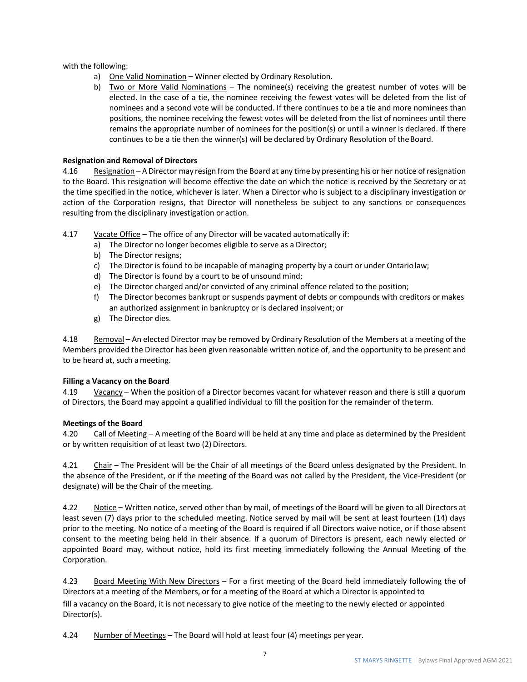with the following:

- a) One Valid Nomination Winner elected by Ordinary Resolution.
- b) Two or More Valid Nominations The nominee(s) receiving the greatest number of votes will be elected. In the case of a tie, the nominee receiving the fewest votes will be deleted from the list of nominees and a second vote will be conducted. If there continues to be a tie and more nominees than positions, the nominee receiving the fewest votes will be deleted from the list of nominees until there remains the appropriate number of nominees for the position(s) or until a winner is declared. If there continues to be a tie then the winner(s) will be declared by Ordinary Resolution of theBoard.

# **Resignation and Removal of Directors**

4.16 Resignation – A Director may resign from the Board at any time by presenting his or her notice of resignation to the Board. This resignation will become effective the date on which the notice is received by the Secretary or at the time specified in the notice, whichever is later. When a Director who is subject to a disciplinary investigation or action of the Corporation resigns, that Director will nonetheless be subject to any sanctions or consequences resulting from the disciplinary investigation or action.

4.17 Vacate Office – The office of any Director will be vacated automatically if:

- a) The Director no longer becomes eligible to serve as a Director;
- b) The Director resigns;
- c) The Director is found to be incapable of managing property by a court or under Ontariolaw;
- d) The Director is found by a court to be of unsound mind;
- e) The Director charged and/or convicted of any criminal offence related to the position;
- f) The Director becomes bankrupt or suspends payment of debts or compounds with creditors or makes an authorized assignment in bankruptcy or is declared insolvent; or
- g) The Director dies.

4.18 Removal – An elected Director may be removed by Ordinary Resolution of the Members at a meeting of the Members provided the Director has been given reasonable written notice of, and the opportunity to be present and to be heard at, such ameeting.

#### **Filling a Vacancy on the Board**

4.19 Vacancy – When the position of a Director becomes vacant for whatever reason and there is still a quorum of Directors, the Board may appoint a qualified individual to fill the position for the remainder of theterm.

#### **Meetings of the Board**

4.20 Call of Meeting – A meeting of the Board will be held at any time and place as determined by the President or by written requisition of at least two (2) Directors.

4.21 Chair – The President will be the Chair of all meetings of the Board unless designated by the President. In the absence of the President, or if the meeting of the Board was not called by the President, the Vice-President (or designate) will be the Chair of the meeting.

4.22 Notice – Written notice, served other than by mail, of meetings of the Board will be given to all Directors at least seven (7) days prior to the scheduled meeting. Notice served by mail will be sent at least fourteen (14) days prior to the meeting. No notice of a meeting of the Board is required if all Directors waive notice, or if those absent consent to the meeting being held in their absence. If a quorum of Directors is present, each newly elected or appointed Board may, without notice, hold its first meeting immediately following the Annual Meeting of the Corporation.

4.23 Board Meeting With New Directors – For a first meeting of the Board held immediately following the of Directors at a meeting of the Members, or for a meeting of the Board at which a Director is appointed to fill a vacancy on the Board, it is not necessary to give notice of the meeting to the newly elected or appointed Director(s).

4.24 Number of Meetings – The Board will hold at least four (4) meetings per year.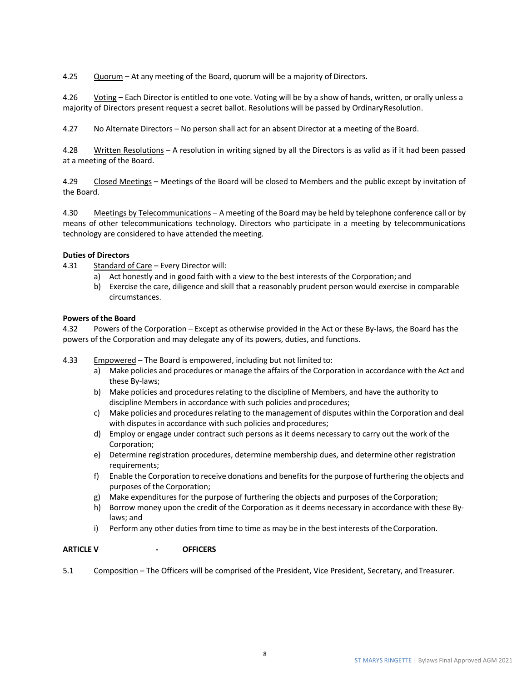4.25 Quorum – At any meeting of the Board, quorum will be a majority of Directors.

4.26 Voting – Each Director is entitled to one vote. Voting will be by a show of hands, written, or orally unless a majority of Directors present request a secret ballot. Resolutions will be passed by OrdinaryResolution.

4.27 No Alternate Directors – No person shall act for an absent Director at a meeting of the Board.

4.28 Written Resolutions – A resolution in writing signed by all the Directors is as valid as if it had been passed at a meeting of the Board.

4.29 Closed Meetings – Meetings of the Board will be closed to Members and the public except by invitation of the Board.

4.30 Meetings by Telecommunications - A meeting of the Board may be held by telephone conference call or by means of other telecommunications technology. Directors who participate in a meeting by telecommunications technology are considered to have attended the meeting.

# **Duties of Directors**

- 4.31 Standard of Care Every Director will:
	- a) Act honestly and in good faith with a view to the best interests of the Corporation; and
	- b) Exercise the care, diligence and skill that a reasonably prudent person would exercise in comparable circumstances.

#### **Powers of the Board**

4.32 Powers of the Corporation – Except as otherwise provided in the Act or these By-laws, the Board has the powers of the Corporation and may delegate any of its powers, duties, and functions.

- 4.33 Empowered The Board is empowered, including but not limited to:
	- a) Make policies and procedures or manage the affairs of the Corporation in accordance with the Act and these By-laws;
	- b) Make policies and procedures relating to the discipline of Members, and have the authority to discipline Members in accordance with such policies and procedures;
	- c) Make policies and procedures relating to the management of disputes within the Corporation and deal with disputes in accordance with such policies and procedures;
	- d) Employ or engage under contract such persons as it deems necessary to carry out the work of the Corporation;
	- e) Determine registration procedures, determine membership dues, and determine other registration requirements;
	- f) Enable the Corporation to receive donations and benefitsfor the purpose of furthering the objects and purposes of the Corporation;
	- g) Make expenditures for the purpose of furthering the objects and purposes of the Corporation;
	- h) Borrow money upon the credit of the Corporation as it deems necessary in accordance with these Bylaws; and
	- i) Perform any other duties from time to time as may be in the best interests of the Corporation.

# **ARTICLE V - OFFICERS**

5.1 Composition – The Officers will be comprised of the President, Vice President, Secretary, andTreasurer.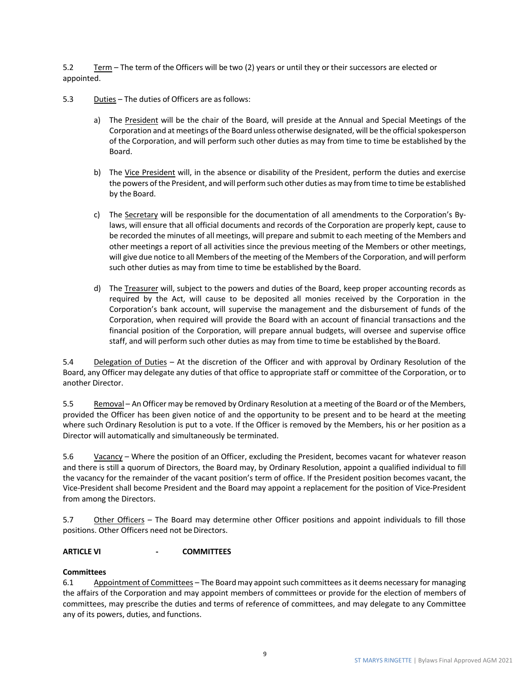5.2 Term – The term of the Officers will be two (2) years or until they or their successors are elected or appointed.

- 5.3 Duties The duties of Officers are as follows:
	- a) The President will be the chair of the Board, will preside at the Annual and Special Meetings of the Corporation and at meetings of the Board unless otherwise designated, will be the official spokesperson of the Corporation, and will perform such other duties as may from time to time be established by the Board.
	- b) The Vice President will, in the absence or disability of the President, perform the duties and exercise the powers of the President, and will perform such other duties as may from time to time be established by the Board.
	- c) The Secretary will be responsible for the documentation of all amendments to the Corporation's Bylaws, will ensure that all official documents and records of the Corporation are properly kept, cause to be recorded the minutes of all meetings, will prepare and submit to each meeting of the Members and other meetings a report of all activities since the previous meeting of the Members or other meetings, will give due notice to all Members of the meeting of the Members of the Corporation, and will perform such other duties as may from time to time be established by the Board.
	- d) The Treasurer will, subject to the powers and duties of the Board, keep proper accounting records as required by the Act, will cause to be deposited all monies received by the Corporation in the Corporation's bank account, will supervise the management and the disbursement of funds of the Corporation, when required will provide the Board with an account of financial transactions and the financial position of the Corporation, will prepare annual budgets, will oversee and supervise office staff, and will perform such other duties as may from time to time be established by the Board.

5.4 Delegation of Duties – At the discretion of the Officer and with approval by Ordinary Resolution of the Board, any Officer may delegate any duties of that office to appropriate staff or committee of the Corporation, or to another Director.

5.5 Removal – AnOfficer may be removed by Ordinary Resolution at a meeting of the Board or of the Members, provided the Officer has been given notice of and the opportunity to be present and to be heard at the meeting where such Ordinary Resolution is put to a vote. If the Officer is removed by the Members, his or her position as a Director will automatically and simultaneously be terminated.

5.6 Vacancy – Where the position of an Officer, excluding the President, becomes vacant for whatever reason and there is still a quorum of Directors, the Board may, by Ordinary Resolution, appoint a qualified individual to fill the vacancy for the remainder of the vacant position's term of office. If the President position becomes vacant, the Vice-President shall become President and the Board may appoint a replacement for the position of Vice-President from among the Directors.

5.7 Other Officers – The Board may determine other Officer positions and appoint individuals to fill those positions. Other Officers need not be Directors.

# **ARTICLE VI - COMMITTEES**

#### **Committees**

6.1 Appointment of Committees – The Board may appoint such committees as it deems necessary for managing the affairs of the Corporation and may appoint members of committees or provide for the election of members of committees, may prescribe the duties and terms of reference of committees, and may delegate to any Committee any of its powers, duties, and functions.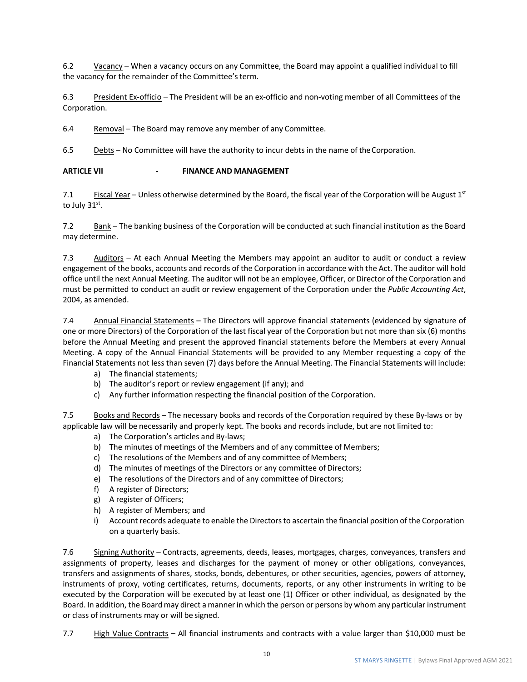6.2 Vacancy – When a vacancy occurs on any Committee, the Board may appoint a qualified individual to fill the vacancy for the remainder of the Committee's term.

6.3 President Ex-officio – The President will be an ex-officio and non-voting member of all Committees of the Corporation.

6.4 Removal – The Board may remove any member of any Committee.

6.5 Debts – No Committee will have the authority to incur debts in the name of theCorporation.

# **ARTICLE VII - FINANCE AND MANAGEMENT**

7.1 Fiscal Year – Unless otherwise determined by the Board, the fiscal year of the Corporation will be August  $1^{st}$ to July  $31<sup>st</sup>$ .

7.2 Bank – The banking business of the Corporation will be conducted at such financial institution as the Board may determine.

7.3 Auditors – At each Annual Meeting the Members may appoint an auditor to audit or conduct a review engagement of the books, accounts and records of the Corporation in accordance with the Act. The auditor will hold office until the next Annual Meeting. The auditor will not be an employee, Officer, or Director of the Corporation and must be permitted to conduct an audit or review engagement of the Corporation under the *Public Accounting Act*, 2004, as amended.

7.4 Annual Financial Statements – The Directors will approve financial statements (evidenced by signature of one or more Directors) of the Corporation of the last fiscal year of the Corporation but not more than six (6) months before the Annual Meeting and present the approved financial statements before the Members at every Annual Meeting. A copy of the Annual Financial Statements will be provided to any Member requesting a copy of the Financial Statements not less than seven (7) days before the Annual Meeting. The Financial Statements will include:

- a) The financial statements;
- b) The auditor's report or review engagement (if any); and
- c) Any further information respecting the financial position of the Corporation.

7.5 Books and Records – The necessary books and records of the Corporation required by these By-laws or by applicable law will be necessarily and properly kept. The books and records include, but are not limited to:

- a) The Corporation's articles and By-laws;
- b) The minutes of meetings of the Members and of any committee of Members;
- c) The resolutions of the Members and of any committee of Members;
- d) The minutes of meetings of the Directors or any committee of Directors;
- e) The resolutions of the Directors and of any committee of Directors;
- f) A register of Directors;
- g) A register of Officers;
- h) A register of Members; and
- i) Account records adequate to enable the Directors to ascertain the financial position of the Corporation on a quarterly basis.

7.6 Signing Authority – Contracts, agreements, deeds, leases, mortgages, charges, conveyances, transfers and assignments of property, leases and discharges for the payment of money or other obligations, conveyances, transfers and assignments of shares, stocks, bonds, debentures, or other securities, agencies, powers of attorney, instruments of proxy, voting certificates, returns, documents, reports, or any other instruments in writing to be executed by the Corporation will be executed by at least one (1) Officer or other individual, as designated by the Board. In addition, the Board may direct a manner in which the person or persons by whom any particular instrument or class of instruments may or will be signed.

7.7 High Value Contracts – All financial instruments and contracts with a value larger than \$10,000 must be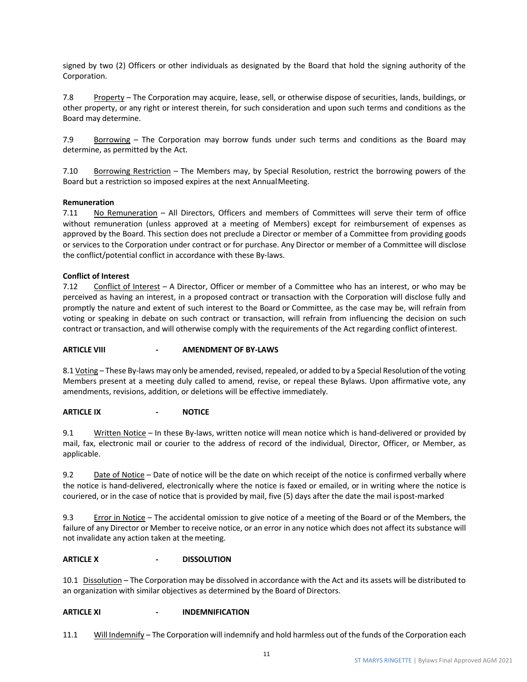signed by two (2) Officers or other individuals as designated by the Board that hold the signing authority of the Corporation.

7.8 Property – The Corporation may acquire, lease, sell, or otherwise dispose of securities, lands, buildings, or other property, or any right or interest therein, for such consideration and upon such terms and conditions as the Board may determine.

7.9 Borrowing – The Corporation may borrow funds under such terms and conditions as the Board may determine, as permitted by the Act.

7.10 Borrowing Restriction – The Members may, by Special Resolution, restrict the borrowing powers of the Board but a restriction so imposed expires at the next AnnualMeeting.

#### **Remuneration**

7.11 No Remuneration – All Directors, Officers and members of Committees will serve their term of office without remuneration (unless approved at a meeting of Members) except for reimbursement of expenses as approved by the Board. This section does not preclude a Director or member of a Committee from providing goods or services to the Corporation under contract or for purchase. Any Director or member of a Committee will disclose the conflict/potential conflict in accordance with these By-laws.

#### **Conflict of Interest**

7.12 Conflict of Interest – A Director, Officer or member of a Committee who has an interest, or who may be perceived as having an interest, in a proposed contract or transaction with the Corporation will disclose fully and promptly the nature and extent of such interest to the Board or Committee, as the case may be, will refrain from voting or speaking in debate on such contract or transaction, will refrain from influencing the decision on such contract or transaction, and will otherwise comply with the requirements of the Act regarding conflict ofinterest.

#### **ARTICLE VIII - AMENDMENT OF BY-LAWS**

8.1 Voting – These By-laws may only be amended, revised, repealed, or added to by a Special Resolution of the voting Members present at a meeting duly called to amend, revise, or repeal these Bylaws. Upon affirmative vote, any amendments, revisions, addition, or deletions will be effective immediately.

#### **ARTICLE IX - NOTICE**

9.1 Written Notice – In these By-laws, written notice will mean notice which is hand-delivered or provided by mail, fax, electronic mail or courier to the address of record of the individual, Director, Officer, or Member, as applicable.

9.2 Date of Notice – Date of notice will be the date on which receipt of the notice is confirmed verbally where the notice is hand-delivered, electronically where the notice is faxed or emailed, or in writing where the notice is couriered, or in the case of notice that is provided by mail, five (5) days after the date the mail ispost-marked

9.3 Error in Notice – The accidental omission to give notice of a meeting of the Board or of the Members, the failure of any Director or Member to receive notice, or an error in any notice which does not affect its substance will not invalidate any action taken at the meeting.

#### **ARTICLE X - DISSOLUTION**

10.1 Dissolution – The Corporation may be dissolved in accordance with the Act and its assets will be distributed to an organization with similar objectives as determined by the Board of Directors.

#### **ARTICLE XI - INDEMNIFICATION**

11.1 Will Indemnify – The Corporation will indemnify and hold harmless out of the funds of the Corporation each